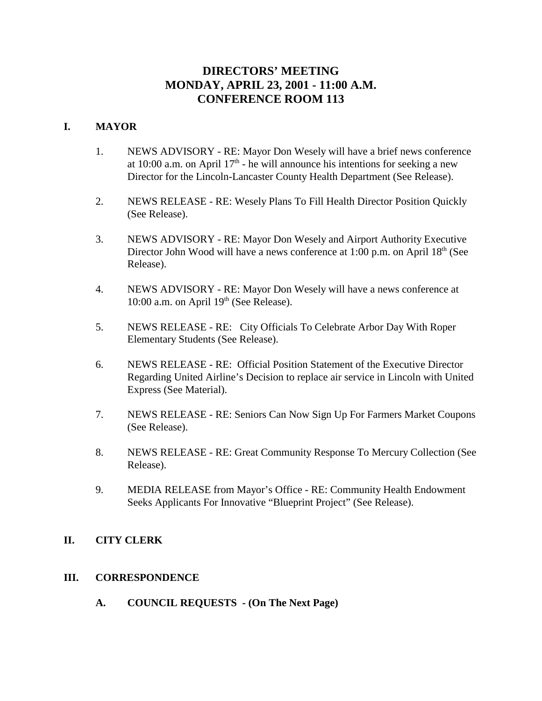## **DIRECTORS' MEETING MONDAY, APRIL 23, 2001 - 11:00 A.M. CONFERENCE ROOM 113**

### **I. MAYOR**

- 1. NEWS ADVISORY RE: Mayor Don Wesely will have a brief news conference at 10:00 a.m. on April  $17<sup>th</sup>$  - he will announce his intentions for seeking a new Director for the Lincoln-Lancaster County Health Department (See Release).
- 2. NEWS RELEASE RE: Wesely Plans To Fill Health Director Position Quickly (See Release).
- 3. NEWS ADVISORY RE: Mayor Don Wesely and Airport Authority Executive Director John Wood will have a news conference at 1:00 p.m. on April  $18<sup>th</sup>$  (See Release).
- 4. NEWS ADVISORY RE: Mayor Don Wesely will have a news conference at 10:00 a.m. on April  $19<sup>th</sup>$  (See Release).
- 5. NEWS RELEASE RE: City Officials To Celebrate Arbor Day With Roper Elementary Students (See Release).
- 6. NEWS RELEASE RE: Official Position Statement of the Executive Director Regarding United Airline's Decision to replace air service in Lincoln with United Express (See Material).
- 7. NEWS RELEASE RE: Seniors Can Now Sign Up For Farmers Market Coupons (See Release).
- 8. NEWS RELEASE RE: Great Community Response To Mercury Collection (See Release).
- 9. MEDIA RELEASE from Mayor's Office RE: Community Health Endowment Seeks Applicants For Innovative "Blueprint Project" (See Release).

### **II. CITY CLERK**

### **III. CORRESPONDENCE**

**A. COUNCIL REQUESTS - (On The Next Page)**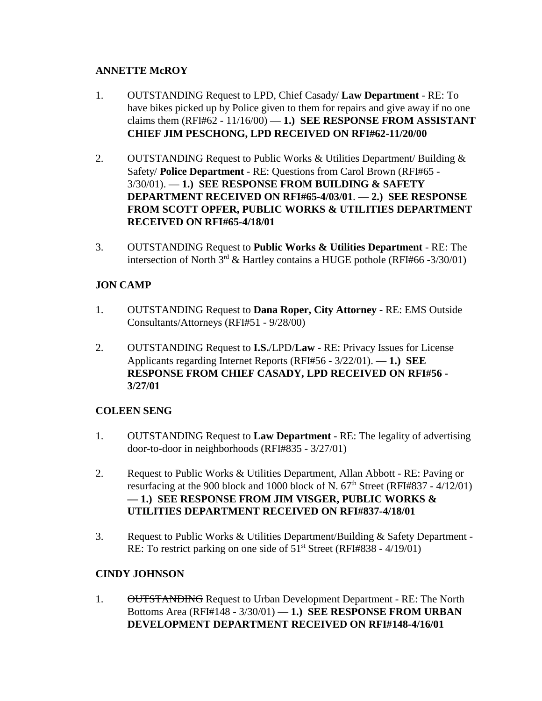## **ANNETTE McROY**

- 1. OUTSTANDING Request to LPD, Chief Casady/ **Law Department** RE: To have bikes picked up by Police given to them for repairs and give away if no one claims them  $(RFI#62 - 11/16/00) - 1$ .) **SEE RESPONSE FROM ASSISTANT CHIEF JIM PESCHONG, LPD RECEIVED ON RFI#62-11/20/00**
- 2. OUTSTANDING Request to Public Works & Utilities Department/ Building & Safety/ **Police Department** - RE: Questions from Carol Brown (RFI#65 - 3/30/01). — **1.) SEE RESPONSE FROM BUILDING & SAFETY DEPARTMENT RECEIVED ON RFI#65-4/03/01**. — **2.) SEE RESPONSE FROM SCOTT OPFER, PUBLIC WORKS & UTILITIES DEPARTMENT RECEIVED ON RFI#65-4/18/01**
- 3. OUTSTANDING Request to **Public Works & Utilities Department** RE: The intersection of North  $3^{rd}$  & Hartley contains a HUGE pothole (RFI#66 -3/30/01)

## **JON CAMP**

- 1. OUTSTANDING Request to **Dana Roper, City Attorney** RE: EMS Outside Consultants/Attorneys (RFI#51 - 9/28/00)
- 2. OUTSTANDING Request to **I.S.**/LPD/**Law** RE: Privacy Issues for License Applicants regarding Internet Reports (RFI#56 - 3/22/01). — **1.) SEE RESPONSE FROM CHIEF CASADY, LPD RECEIVED ON RFI#56 - 3/27/01**

## **COLEEN SENG**

- 1. OUTSTANDING Request to **Law Department** RE: The legality of advertising door-to-door in neighborhoods (RFI#835 - 3/27/01)
- 2. Request to Public Works & Utilities Department, Allan Abbott RE: Paving or resurfacing at the 900 block and 1000 block of N.  $67<sup>th</sup>$  Street (RFI#837 - 4/12/01) **— 1.) SEE RESPONSE FROM JIM VISGER, PUBLIC WORKS & UTILITIES DEPARTMENT RECEIVED ON RFI#837-4/18/01**
- 3. Request to Public Works & Utilities Department/Building & Safety Department RE: To restrict parking on one side of  $51<sup>st</sup>$  Street (RFI#838 - 4/19/01)

## **CINDY JOHNSON**

1. OUTSTANDING Request to Urban Development Department - RE: The North Bottoms Area (RFI#148 - 3/30/01) — **1.) SEE RESPONSE FROM URBAN DEVELOPMENT DEPARTMENT RECEIVED ON RFI#148-4/16/01**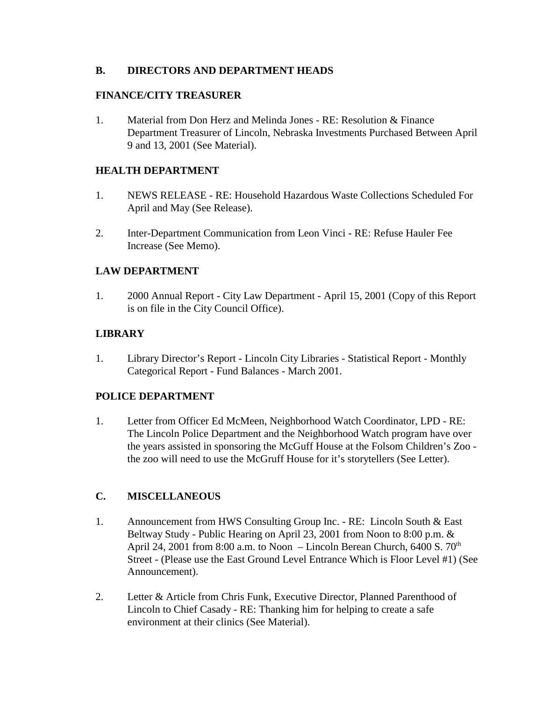## **B. DIRECTORS AND DEPARTMENT HEADS**

### **FINANCE/CITY TREASURER**

1. Material from Don Herz and Melinda Jones - RE: Resolution & Finance Department Treasurer of Lincoln, Nebraska Investments Purchased Between April 9 and 13, 2001 (See Material).

## **HEALTH DEPARTMENT**

- 1. NEWS RELEASE RE: Household Hazardous Waste Collections Scheduled For April and May (See Release).
- 2. Inter-Department Communication from Leon Vinci RE: Refuse Hauler Fee Increase (See Memo).

## **LAW DEPARTMENT**

1. 2000 Annual Report - City Law Department - April 15, 2001 (Copy of this Report is on file in the City Council Office).

## **LIBRARY**

1. Library Director's Report - Lincoln City Libraries - Statistical Report - Monthly Categorical Report - Fund Balances - March 2001.

## **POLICE DEPARTMENT**

1. Letter from Officer Ed McMeen, Neighborhood Watch Coordinator, LPD - RE: The Lincoln Police Department and the Neighborhood Watch program have over the years assisted in sponsoring the McGuff House at the Folsom Children's Zoo the zoo will need to use the McGruff House for it's storytellers (See Letter).

## **C. MISCELLANEOUS**

- 1. Announcement from HWS Consulting Group Inc. RE: Lincoln South & East Beltway Study - Public Hearing on April 23, 2001 from Noon to 8:00 p.m. & April 24, 2001 from 8:00 a.m. to Noon – Lincoln Berean Church,  $6400 S. 70<sup>th</sup>$ Street - (Please use the East Ground Level Entrance Which is Floor Level #1) (See Announcement).
- 2. Letter & Article from Chris Funk, Executive Director, Planned Parenthood of Lincoln to Chief Casady - RE: Thanking him for helping to create a safe environment at their clinics (See Material).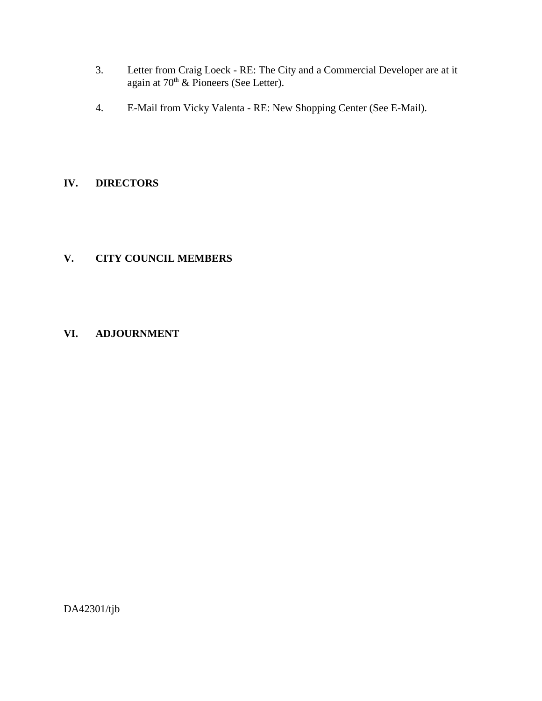- 3. Letter from Craig Loeck RE: The City and a Commercial Developer are at it again at  $70<sup>th</sup>$  & Pioneers (See Letter).
- 4. E-Mail from Vicky Valenta RE: New Shopping Center (See E-Mail).

## **IV. DIRECTORS**

## **V. CITY COUNCIL MEMBERS**

## **VI. ADJOURNMENT**

DA42301/tjb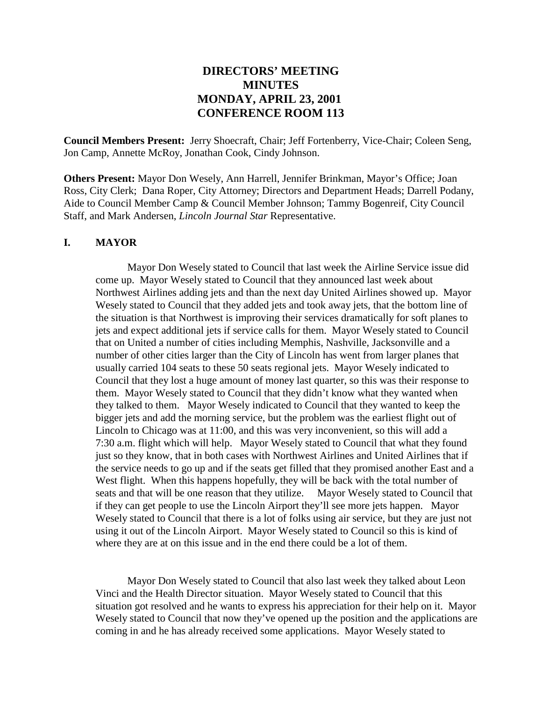## **DIRECTORS' MEETING MINUTES MONDAY, APRIL 23, 2001 CONFERENCE ROOM 113**

**Council Members Present:** Jerry Shoecraft, Chair; Jeff Fortenberry, Vice-Chair; Coleen Seng, Jon Camp, Annette McRoy, Jonathan Cook, Cindy Johnson.

**Others Present:** Mayor Don Wesely, Ann Harrell, Jennifer Brinkman, Mayor's Office; Joan Ross, City Clerk; Dana Roper, City Attorney; Directors and Department Heads; Darrell Podany, Aide to Council Member Camp & Council Member Johnson; Tammy Bogenreif, City Council Staff, and Mark Andersen, *Lincoln Journal Star* Representative.

#### **I. MAYOR**

Mayor Don Wesely stated to Council that last week the Airline Service issue did come up. Mayor Wesely stated to Council that they announced last week about Northwest Airlines adding jets and than the next day United Airlines showed up. Mayor Wesely stated to Council that they added jets and took away jets, that the bottom line of the situation is that Northwest is improving their services dramatically for soft planes to jets and expect additional jets if service calls for them. Mayor Wesely stated to Council that on United a number of cities including Memphis, Nashville, Jacksonville and a number of other cities larger than the City of Lincoln has went from larger planes that usually carried 104 seats to these 50 seats regional jets. Mayor Wesely indicated to Council that they lost a huge amount of money last quarter, so this was their response to them. Mayor Wesely stated to Council that they didn't know what they wanted when they talked to them. Mayor Wesely indicated to Council that they wanted to keep the bigger jets and add the morning service, but the problem was the earliest flight out of Lincoln to Chicago was at 11:00, and this was very inconvenient, so this will add a 7:30 a.m. flight which will help. Mayor Wesely stated to Council that what they found just so they know, that in both cases with Northwest Airlines and United Airlines that if the service needs to go up and if the seats get filled that they promised another East and a West flight. When this happens hopefully, they will be back with the total number of seats and that will be one reason that they utilize. Mayor Wesely stated to Council that if they can get people to use the Lincoln Airport they'll see more jets happen. Mayor Wesely stated to Council that there is a lot of folks using air service, but they are just not using it out of the Lincoln Airport. Mayor Wesely stated to Council so this is kind of where they are at on this issue and in the end there could be a lot of them.

Mayor Don Wesely stated to Council that also last week they talked about Leon Vinci and the Health Director situation. Mayor Wesely stated to Council that this situation got resolved and he wants to express his appreciation for their help on it. Mayor Wesely stated to Council that now they've opened up the position and the applications are coming in and he has already received some applications. Mayor Wesely stated to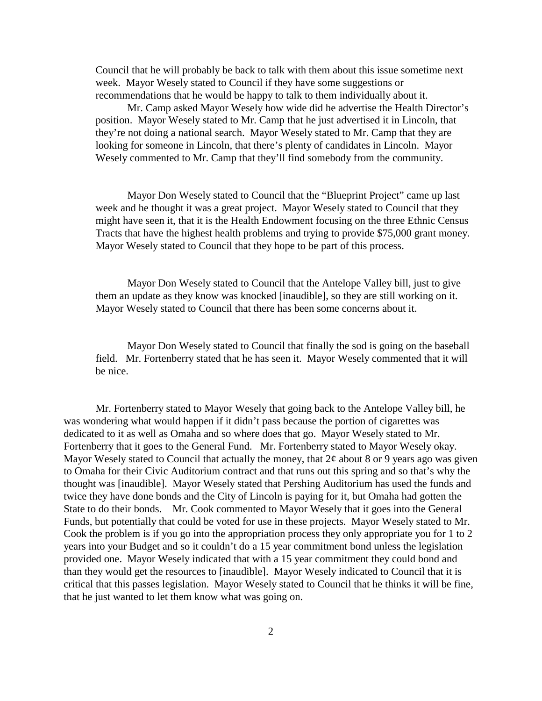Council that he will probably be back to talk with them about this issue sometime next week. Mayor Wesely stated to Council if they have some suggestions or recommendations that he would be happy to talk to them individually about it.

Mr. Camp asked Mayor Wesely how wide did he advertise the Health Director's position. Mayor Wesely stated to Mr. Camp that he just advertised it in Lincoln, that they're not doing a national search. Mayor Wesely stated to Mr. Camp that they are looking for someone in Lincoln, that there's plenty of candidates in Lincoln. Mayor Wesely commented to Mr. Camp that they'll find somebody from the community.

Mayor Don Wesely stated to Council that the "Blueprint Project" came up last week and he thought it was a great project. Mayor Wesely stated to Council that they might have seen it, that it is the Health Endowment focusing on the three Ethnic Census Tracts that have the highest health problems and trying to provide \$75,000 grant money. Mayor Wesely stated to Council that they hope to be part of this process.

Mayor Don Wesely stated to Council that the Antelope Valley bill, just to give them an update as they know was knocked [inaudible], so they are still working on it. Mayor Wesely stated to Council that there has been some concerns about it.

Mayor Don Wesely stated to Council that finally the sod is going on the baseball field. Mr. Fortenberry stated that he has seen it. Mayor Wesely commented that it will be nice.

Mr. Fortenberry stated to Mayor Wesely that going back to the Antelope Valley bill, he was wondering what would happen if it didn't pass because the portion of cigarettes was dedicated to it as well as Omaha and so where does that go. Mayor Wesely stated to Mr. Fortenberry that it goes to the General Fund. Mr. Fortenberry stated to Mayor Wesely okay. Mayor Wesely stated to Council that actually the money, that  $2¢$  about 8 or 9 years ago was given to Omaha for their Civic Auditorium contract and that runs out this spring and so that's why the thought was [inaudible]. Mayor Wesely stated that Pershing Auditorium has used the funds and twice they have done bonds and the City of Lincoln is paying for it, but Omaha had gotten the State to do their bonds. Mr. Cook commented to Mayor Wesely that it goes into the General Funds, but potentially that could be voted for use in these projects. Mayor Wesely stated to Mr. Cook the problem is if you go into the appropriation process they only appropriate you for 1 to 2 years into your Budget and so it couldn't do a 15 year commitment bond unless the legislation provided one. Mayor Wesely indicated that with a 15 year commitment they could bond and than they would get the resources to [inaudible]. Mayor Wesely indicated to Council that it is critical that this passes legislation. Mayor Wesely stated to Council that he thinks it will be fine, that he just wanted to let them know what was going on.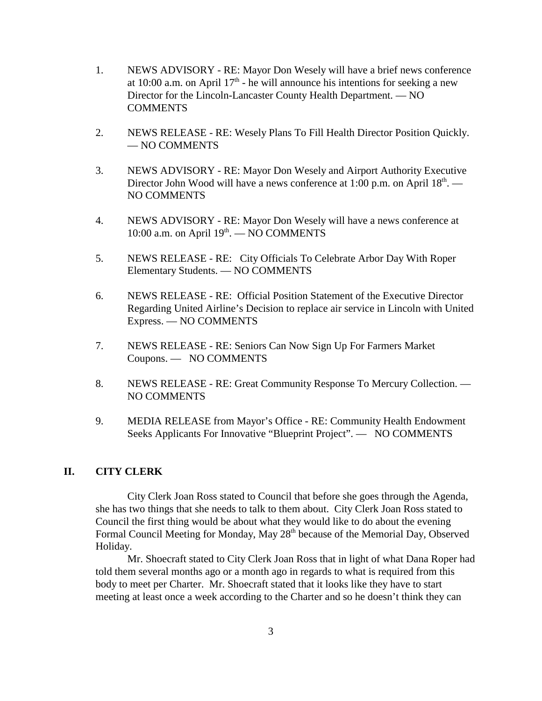- 1. NEWS ADVISORY RE: Mayor Don Wesely will have a brief news conference at 10:00 a.m. on April  $17<sup>th</sup>$  - he will announce his intentions for seeking a new Director for the Lincoln-Lancaster County Health Department. — NO **COMMENTS**
- 2. NEWS RELEASE RE: Wesely Plans To Fill Health Director Position Quickly. — NO COMMENTS
- 3. NEWS ADVISORY RE: Mayor Don Wesely and Airport Authority Executive Director John Wood will have a news conference at 1:00 p.m. on April  $18<sup>th</sup>$ . — NO COMMENTS
- 4. NEWS ADVISORY RE: Mayor Don Wesely will have a news conference at 10:00 a.m. on April 19<sup>th</sup>. — NO COMMENTS
- 5. NEWS RELEASE RE: City Officials To Celebrate Arbor Day With Roper Elementary Students. — NO COMMENTS
- 6. NEWS RELEASE RE: Official Position Statement of the Executive Director Regarding United Airline's Decision to replace air service in Lincoln with United Express. — NO COMMENTS
- 7. NEWS RELEASE RE: Seniors Can Now Sign Up For Farmers Market Coupons. — NO COMMENTS
- 8. NEWS RELEASE RE: Great Community Response To Mercury Collection. NO COMMENTS
- 9. MEDIA RELEASE from Mayor's Office RE: Community Health Endowment Seeks Applicants For Innovative "Blueprint Project". — NO COMMENTS

### **II. CITY CLERK**

City Clerk Joan Ross stated to Council that before she goes through the Agenda, she has two things that she needs to talk to them about. City Clerk Joan Ross stated to Council the first thing would be about what they would like to do about the evening Formal Council Meeting for Monday, May 28<sup>th</sup> because of the Memorial Day, Observed Holiday.

Mr. Shoecraft stated to City Clerk Joan Ross that in light of what Dana Roper had told them several months ago or a month ago in regards to what is required from this body to meet per Charter. Mr. Shoecraft stated that it looks like they have to start meeting at least once a week according to the Charter and so he doesn't think they can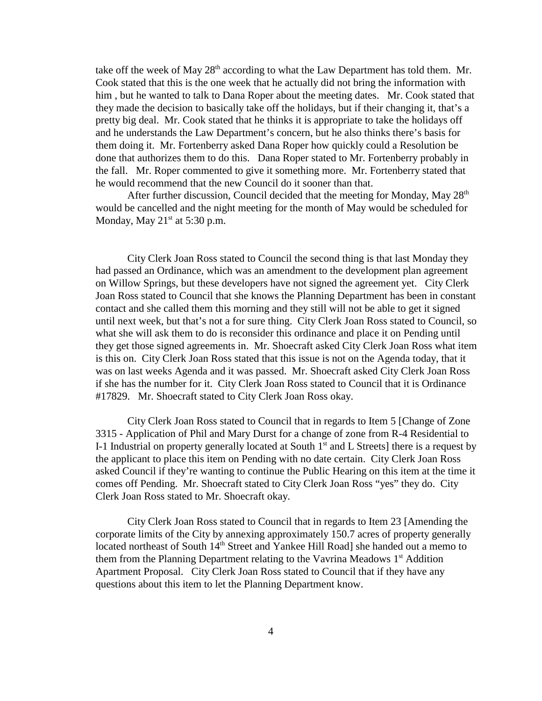take off the week of May  $28<sup>th</sup>$  according to what the Law Department has told them. Mr. Cook stated that this is the one week that he actually did not bring the information with him, but he wanted to talk to Dana Roper about the meeting dates. Mr. Cook stated that they made the decision to basically take off the holidays, but if their changing it, that's a pretty big deal. Mr. Cook stated that he thinks it is appropriate to take the holidays off and he understands the Law Department's concern, but he also thinks there's basis for them doing it. Mr. Fortenberry asked Dana Roper how quickly could a Resolution be done that authorizes them to do this. Dana Roper stated to Mr. Fortenberry probably in the fall. Mr. Roper commented to give it something more. Mr. Fortenberry stated that he would recommend that the new Council do it sooner than that.

After further discussion, Council decided that the meeting for Monday, May  $28<sup>th</sup>$ would be cancelled and the night meeting for the month of May would be scheduled for Monday, May  $21<sup>st</sup>$  at 5:30 p.m.

City Clerk Joan Ross stated to Council the second thing is that last Monday they had passed an Ordinance, which was an amendment to the development plan agreement on Willow Springs, but these developers have not signed the agreement yet. City Clerk Joan Ross stated to Council that she knows the Planning Department has been in constant contact and she called them this morning and they still will not be able to get it signed until next week, but that's not a for sure thing. City Clerk Joan Ross stated to Council, so what she will ask them to do is reconsider this ordinance and place it on Pending until they get those signed agreements in. Mr. Shoecraft asked City Clerk Joan Ross what item is this on. City Clerk Joan Ross stated that this issue is not on the Agenda today, that it was on last weeks Agenda and it was passed. Mr. Shoecraft asked City Clerk Joan Ross if she has the number for it. City Clerk Joan Ross stated to Council that it is Ordinance #17829. Mr. Shoecraft stated to City Clerk Joan Ross okay.

City Clerk Joan Ross stated to Council that in regards to Item 5 [Change of Zone 3315 - Application of Phil and Mary Durst for a change of zone from R-4 Residential to I-1 Industrial on property generally located at South  $1<sup>st</sup>$  and L Streets] there is a request by the applicant to place this item on Pending with no date certain. City Clerk Joan Ross asked Council if they're wanting to continue the Public Hearing on this item at the time it comes off Pending. Mr. Shoecraft stated to City Clerk Joan Ross "yes" they do. City Clerk Joan Ross stated to Mr. Shoecraft okay.

City Clerk Joan Ross stated to Council that in regards to Item 23 [Amending the corporate limits of the City by annexing approximately 150.7 acres of property generally located northeast of South 14<sup>th</sup> Street and Yankee Hill Road] she handed out a memo to them from the Planning Department relating to the Vavrina Meadows 1<sup>st</sup> Addition Apartment Proposal. City Clerk Joan Ross stated to Council that if they have any questions about this item to let the Planning Department know.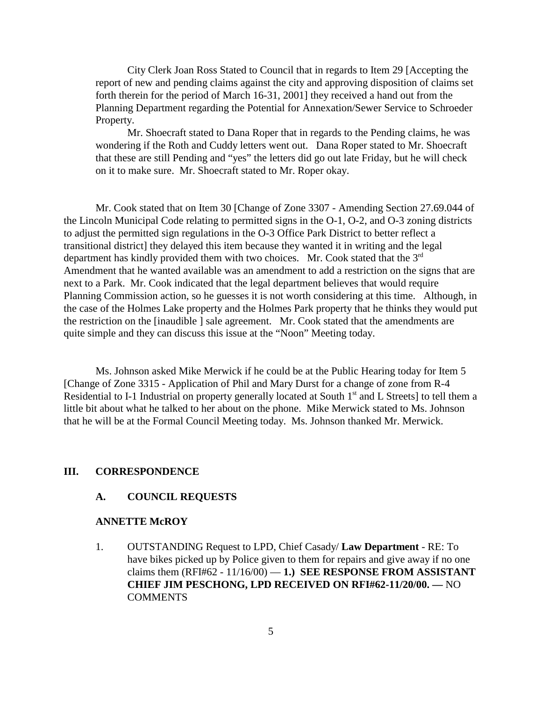City Clerk Joan Ross Stated to Council that in regards to Item 29 [Accepting the report of new and pending claims against the city and approving disposition of claims set forth therein for the period of March 16-31, 2001] they received a hand out from the Planning Department regarding the Potential for Annexation/Sewer Service to Schroeder Property.

Mr. Shoecraft stated to Dana Roper that in regards to the Pending claims, he was wondering if the Roth and Cuddy letters went out. Dana Roper stated to Mr. Shoecraft that these are still Pending and "yes" the letters did go out late Friday, but he will check on it to make sure. Mr. Shoecraft stated to Mr. Roper okay.

Mr. Cook stated that on Item 30 [Change of Zone 3307 - Amending Section 27.69.044 of the Lincoln Municipal Code relating to permitted signs in the O-1, O-2, and O-3 zoning districts to adjust the permitted sign regulations in the O-3 Office Park District to better reflect a transitional district] they delayed this item because they wanted it in writing and the legal department has kindly provided them with two choices. Mr. Cook stated that the 3<sup>rd</sup> Amendment that he wanted available was an amendment to add a restriction on the signs that are next to a Park. Mr. Cook indicated that the legal department believes that would require Planning Commission action, so he guesses it is not worth considering at this time. Although, in the case of the Holmes Lake property and the Holmes Park property that he thinks they would put the restriction on the [inaudible ] sale agreement. Mr. Cook stated that the amendments are quite simple and they can discuss this issue at the "Noon" Meeting today.

Ms. Johnson asked Mike Merwick if he could be at the Public Hearing today for Item 5 [Change of Zone 3315 - Application of Phil and Mary Durst for a change of zone from R-4 Residential to I-1 Industrial on property generally located at South 1<sup>st</sup> and L Streets] to tell them a little bit about what he talked to her about on the phone. Mike Merwick stated to Ms. Johnson that he will be at the Formal Council Meeting today. Ms. Johnson thanked Mr. Merwick.

#### **III. CORRESPONDENCE**

#### **A. COUNCIL REQUESTS**

#### **ANNETTE McROY**

1. OUTSTANDING Request to LPD, Chief Casady/ **Law Department** - RE: To have bikes picked up by Police given to them for repairs and give away if no one claims them  $(RFI#62 - 11/16/00) - 1$ .) **SEE RESPONSE FROM ASSISTANT CHIEF JIM PESCHONG, LPD RECEIVED ON RFI#62-11/20/00. —** NO COMMENTS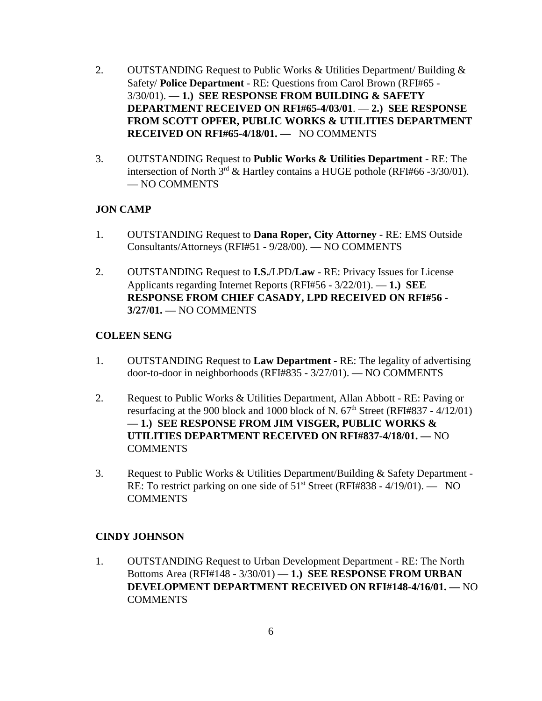- 2. OUTSTANDING Request to Public Works & Utilities Department/ Building & Safety/ **Police Department** - RE: Questions from Carol Brown (RFI#65 - 3/30/01). — **1.) SEE RESPONSE FROM BUILDING & SAFETY DEPARTMENT RECEIVED ON RFI#65-4/03/01**. — **2.) SEE RESPONSE FROM SCOTT OPFER, PUBLIC WORKS & UTILITIES DEPARTMENT RECEIVED ON RFI#65-4/18/01. —** NO COMMENTS
- 3. OUTSTANDING Request to **Public Works & Utilities Department** RE: The intersection of North  $3^{rd}$  & Hartley contains a HUGE pothole (RFI#66 -3/30/01). — NO COMMENTS

### **JON CAMP**

- 1. OUTSTANDING Request to **Dana Roper, City Attorney** RE: EMS Outside Consultants/Attorneys (RFI#51 - 9/28/00). — NO COMMENTS
- 2. OUTSTANDING Request to **I.S.**/LPD/**Law** RE: Privacy Issues for License Applicants regarding Internet Reports (RFI#56 - 3/22/01). — **1.) SEE RESPONSE FROM CHIEF CASADY, LPD RECEIVED ON RFI#56 - 3/27/01. —** NO COMMENTS

### **COLEEN SENG**

- 1. OUTSTANDING Request to **Law Department** RE: The legality of advertising door-to-door in neighborhoods (RFI#835 - 3/27/01). — NO COMMENTS
- 2. Request to Public Works & Utilities Department, Allan Abbott RE: Paving or resurfacing at the 900 block and 1000 block of N.  $67<sup>th</sup>$  Street (RFI#837 - 4/12/01) **— 1.) SEE RESPONSE FROM JIM VISGER, PUBLIC WORKS & UTILITIES DEPARTMENT RECEIVED ON RFI#837-4/18/01. —** NO **COMMENTS**
- 3. Request to Public Works & Utilities Department/Building & Safety Department RE: To restrict parking on one side of 51<sup>st</sup> Street (RFI#838 - 4/19/01). — NO **COMMENTS**

### **CINDY JOHNSON**

1. OUTSTANDING Request to Urban Development Department - RE: The North Bottoms Area (RFI#148 - 3/30/01) — **1.) SEE RESPONSE FROM URBAN DEVELOPMENT DEPARTMENT RECEIVED ON RFI#148-4/16/01. —** NO **COMMENTS**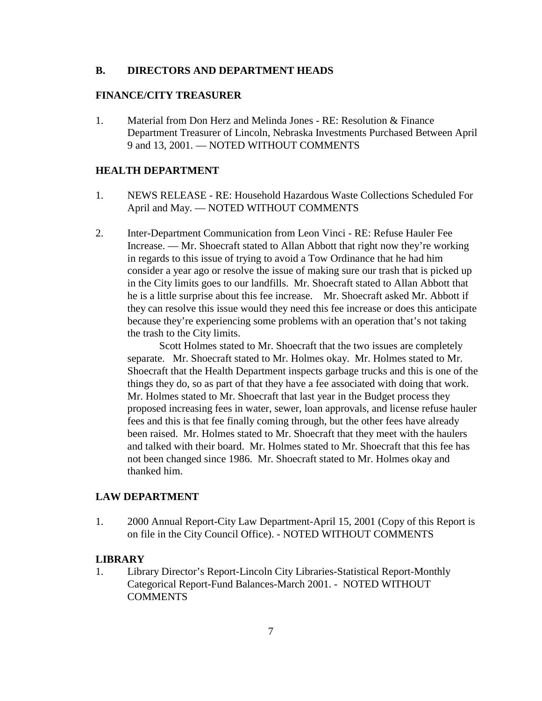#### **B. DIRECTORS AND DEPARTMENT HEADS**

#### **FINANCE/CITY TREASURER**

1. Material from Don Herz and Melinda Jones - RE: Resolution & Finance Department Treasurer of Lincoln, Nebraska Investments Purchased Between April 9 and 13, 2001. — NOTED WITHOUT COMMENTS

#### **HEALTH DEPARTMENT**

- 1. NEWS RELEASE RE: Household Hazardous Waste Collections Scheduled For April and May. — NOTED WITHOUT COMMENTS
- 2. Inter-Department Communication from Leon Vinci RE: Refuse Hauler Fee Increase. — Mr. Shoecraft stated to Allan Abbott that right now they're working in regards to this issue of trying to avoid a Tow Ordinance that he had him consider a year ago or resolve the issue of making sure our trash that is picked up in the City limits goes to our landfills. Mr. Shoecraft stated to Allan Abbott that he is a little surprise about this fee increase. Mr. Shoecraft asked Mr. Abbott if they can resolve this issue would they need this fee increase or does this anticipate because they're experiencing some problems with an operation that's not taking the trash to the City limits.

Scott Holmes stated to Mr. Shoecraft that the two issues are completely separate. Mr. Shoecraft stated to Mr. Holmes okay. Mr. Holmes stated to Mr. Shoecraft that the Health Department inspects garbage trucks and this is one of the things they do, so as part of that they have a fee associated with doing that work. Mr. Holmes stated to Mr. Shoecraft that last year in the Budget process they proposed increasing fees in water, sewer, loan approvals, and license refuse hauler fees and this is that fee finally coming through, but the other fees have already been raised. Mr. Holmes stated to Mr. Shoecraft that they meet with the haulers and talked with their board. Mr. Holmes stated to Mr. Shoecraft that this fee has not been changed since 1986. Mr. Shoecraft stated to Mr. Holmes okay and thanked him.

### **LAW DEPARTMENT**

1. 2000 Annual Report-City Law Department-April 15, 2001 (Copy of this Report is on file in the City Council Office). - NOTED WITHOUT COMMENTS

#### **LIBRARY**

1. Library Director's Report-Lincoln City Libraries-Statistical Report-Monthly Categorical Report-Fund Balances-March 2001. - NOTED WITHOUT **COMMENTS**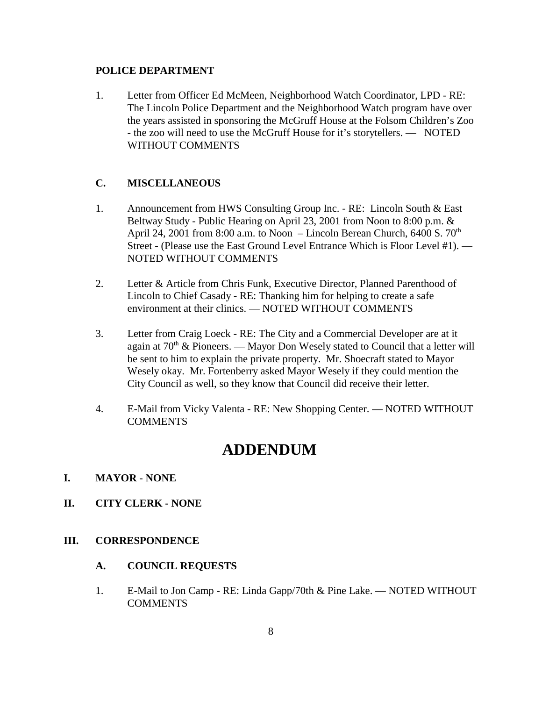#### **POLICE DEPARTMENT**

1. Letter from Officer Ed McMeen, Neighborhood Watch Coordinator, LPD - RE: The Lincoln Police Department and the Neighborhood Watch program have over the years assisted in sponsoring the McGruff House at the Folsom Children's Zoo - the zoo will need to use the McGruff House for it's storytellers. — NOTED WITHOUT COMMENTS

#### **C. MISCELLANEOUS**

- 1. Announcement from HWS Consulting Group Inc. RE: Lincoln South & East Beltway Study - Public Hearing on April 23, 2001 from Noon to 8:00 p.m. & April 24, 2001 from 8:00 a.m. to Noon – Lincoln Berean Church, 6400 S.  $70<sup>th</sup>$ Street - (Please use the East Ground Level Entrance Which is Floor Level #1). — NOTED WITHOUT COMMENTS
- 2. Letter & Article from Chris Funk, Executive Director, Planned Parenthood of Lincoln to Chief Casady - RE: Thanking him for helping to create a safe environment at their clinics. — NOTED WITHOUT COMMENTS
- 3. Letter from Craig Loeck RE: The City and a Commercial Developer are at it again at  $70<sup>th</sup>$  & Pioneers. — Mayor Don Wesely stated to Council that a letter will be sent to him to explain the private property. Mr. Shoecraft stated to Mayor Wesely okay. Mr. Fortenberry asked Mayor Wesely if they could mention the City Council as well, so they know that Council did receive their letter.
- 4. E-Mail from Vicky Valenta RE: New Shopping Center. NOTED WITHOUT **COMMENTS**

# **ADDENDUM**

#### **I. MAYOR** - **NONE**

**II. CITY CLERK - NONE**

### **III. CORRESPONDENCE**

#### **A. COUNCIL REQUESTS**

1. E-Mail to Jon Camp - RE: Linda Gapp/70th & Pine Lake. — NOTED WITHOUT **COMMENTS**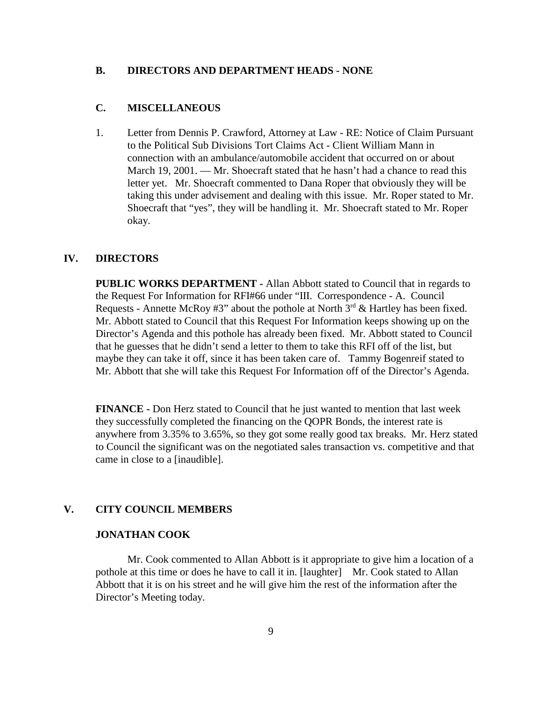#### **B. DIRECTORS AND DEPARTMENT HEADS - NONE**

#### **C. MISCELLANEOUS**

1. Letter from Dennis P. Crawford, Attorney at Law - RE: Notice of Claim Pursuant to the Political Sub Divisions Tort Claims Act - Client William Mann in connection with an ambulance/automobile accident that occurred on or about March 19, 2001. — Mr. Shoecraft stated that he hasn't had a chance to read this letter yet. Mr. Shoecraft commented to Dana Roper that obviously they will be taking this under advisement and dealing with this issue. Mr. Roper stated to Mr. Shoecraft that "yes", they will be handling it. Mr. Shoecraft stated to Mr. Roper okay.

#### **IV. DIRECTORS**

**PUBLIC WORKS DEPARTMENT -** Allan Abbott stated to Council that in regards to the Request For Information for RFI#66 under "III. Correspondence - A. Council Requests - Annette McRoy #3" about the pothole at North  $3<sup>rd</sup>$  & Hartley has been fixed. Mr. Abbott stated to Council that this Request For Information keeps showing up on the Director's Agenda and this pothole has already been fixed. Mr. Abbott stated to Council that he guesses that he didn't send a letter to them to take this RFI off of the list, but maybe they can take it off, since it has been taken care of. Tammy Bogenreif stated to Mr. Abbott that she will take this Request For Information off of the Director's Agenda.

**FINANCE -** Don Herz stated to Council that he just wanted to mention that last week they successfully completed the financing on the QOPR Bonds, the interest rate is anywhere from 3.35% to 3.65%, so they got some really good tax breaks. Mr. Herz stated to Council the significant was on the negotiated sales transaction vs. competitive and that came in close to a [inaudible].

### **V. CITY COUNCIL MEMBERS**

#### **JONATHAN COOK**

Mr. Cook commented to Allan Abbott is it appropriate to give him a location of a pothole at this time or does he have to call it in. [laughter] Mr. Cook stated to Allan Abbott that it is on his street and he will give him the rest of the information after the Director's Meeting today.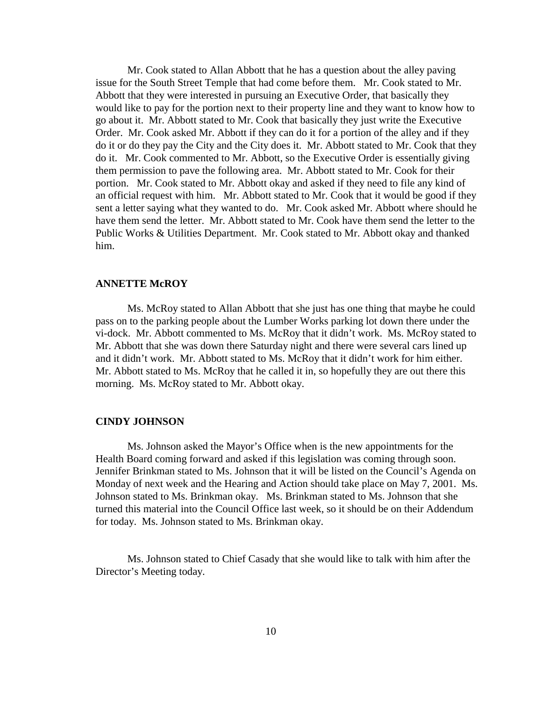Mr. Cook stated to Allan Abbott that he has a question about the alley paving issue for the South Street Temple that had come before them. Mr. Cook stated to Mr. Abbott that they were interested in pursuing an Executive Order, that basically they would like to pay for the portion next to their property line and they want to know how to go about it. Mr. Abbott stated to Mr. Cook that basically they just write the Executive Order. Mr. Cook asked Mr. Abbott if they can do it for a portion of the alley and if they do it or do they pay the City and the City does it. Mr. Abbott stated to Mr. Cook that they do it. Mr. Cook commented to Mr. Abbott, so the Executive Order is essentially giving them permission to pave the following area. Mr. Abbott stated to Mr. Cook for their portion. Mr. Cook stated to Mr. Abbott okay and asked if they need to file any kind of an official request with him. Mr. Abbott stated to Mr. Cook that it would be good if they sent a letter saying what they wanted to do. Mr. Cook asked Mr. Abbott where should he have them send the letter. Mr. Abbott stated to Mr. Cook have them send the letter to the Public Works & Utilities Department. Mr. Cook stated to Mr. Abbott okay and thanked him.

#### **ANNETTE McROY**

Ms. McRoy stated to Allan Abbott that she just has one thing that maybe he could pass on to the parking people about the Lumber Works parking lot down there under the vi-dock. Mr. Abbott commented to Ms. McRoy that it didn't work. Ms. McRoy stated to Mr. Abbott that she was down there Saturday night and there were several cars lined up and it didn't work. Mr. Abbott stated to Ms. McRoy that it didn't work for him either. Mr. Abbott stated to Ms. McRoy that he called it in, so hopefully they are out there this morning. Ms. McRoy stated to Mr. Abbott okay.

#### **CINDY JOHNSON**

Ms. Johnson asked the Mayor's Office when is the new appointments for the Health Board coming forward and asked if this legislation was coming through soon. Jennifer Brinkman stated to Ms. Johnson that it will be listed on the Council's Agenda on Monday of next week and the Hearing and Action should take place on May 7, 2001. Ms. Johnson stated to Ms. Brinkman okay. Ms. Brinkman stated to Ms. Johnson that she turned this material into the Council Office last week, so it should be on their Addendum for today. Ms. Johnson stated to Ms. Brinkman okay.

Ms. Johnson stated to Chief Casady that she would like to talk with him after the Director's Meeting today.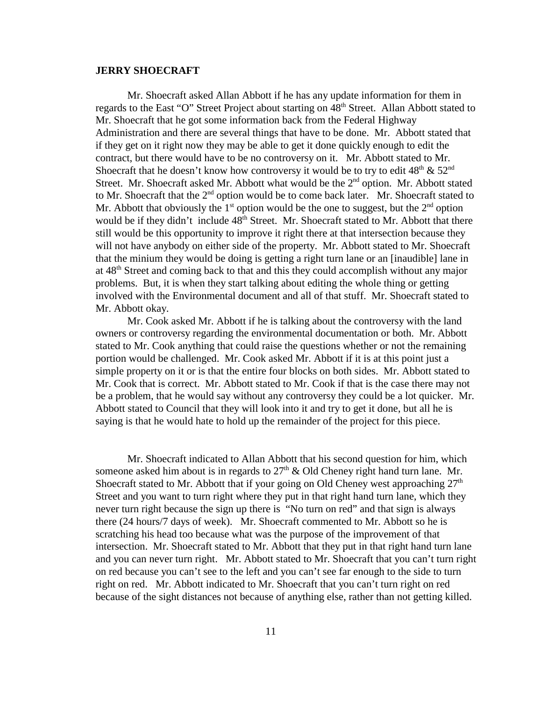#### **JERRY SHOECRAFT**

Mr. Shoecraft asked Allan Abbott if he has any update information for them in regards to the East "O" Street Project about starting on  $48<sup>th</sup>$  Street. Allan Abbott stated to Mr. Shoecraft that he got some information back from the Federal Highway Administration and there are several things that have to be done. Mr. Abbott stated that if they get on it right now they may be able to get it done quickly enough to edit the contract, but there would have to be no controversy on it. Mr. Abbott stated to Mr. Shoecraft that he doesn't know how controversy it would be to try to edit  $48<sup>th</sup> \& 52<sup>nd</sup>$ Street. Mr. Shoecraft asked Mr. Abbott what would be the  $2<sup>nd</sup>$  option. Mr. Abbott stated to Mr. Shoecraft that the  $2<sup>nd</sup>$  option would be to come back later. Mr. Shoecraft stated to Mr. Abbott that obviously the  $1<sup>st</sup>$  option would be the one to suggest, but the  $2<sup>nd</sup>$  option would be if they didn't include 48<sup>th</sup> Street. Mr. Shoecraft stated to Mr. Abbott that there still would be this opportunity to improve it right there at that intersection because they will not have anybody on either side of the property. Mr. Abbott stated to Mr. Shoecraft that the minium they would be doing is getting a right turn lane or an [inaudible] lane in at 48<sup>th</sup> Street and coming back to that and this they could accomplish without any major problems. But, it is when they start talking about editing the whole thing or getting involved with the Environmental document and all of that stuff. Mr. Shoecraft stated to Mr. Abbott okay.

Mr. Cook asked Mr. Abbott if he is talking about the controversy with the land owners or controversy regarding the environmental documentation or both. Mr. Abbott stated to Mr. Cook anything that could raise the questions whether or not the remaining portion would be challenged. Mr. Cook asked Mr. Abbott if it is at this point just a simple property on it or is that the entire four blocks on both sides. Mr. Abbott stated to Mr. Cook that is correct. Mr. Abbott stated to Mr. Cook if that is the case there may not be a problem, that he would say without any controversy they could be a lot quicker. Mr. Abbott stated to Council that they will look into it and try to get it done, but all he is saying is that he would hate to hold up the remainder of the project for this piece.

Mr. Shoecraft indicated to Allan Abbott that his second question for him, which someone asked him about is in regards to  $27<sup>th</sup>$  & Old Cheney right hand turn lane. Mr. Shoecraft stated to Mr. Abbott that if your going on Old Cheney west approaching  $27<sup>th</sup>$ Street and you want to turn right where they put in that right hand turn lane, which they never turn right because the sign up there is "No turn on red" and that sign is always there (24 hours/7 days of week). Mr. Shoecraft commented to Mr. Abbott so he is scratching his head too because what was the purpose of the improvement of that intersection. Mr. Shoecraft stated to Mr. Abbott that they put in that right hand turn lane and you can never turn right. Mr. Abbott stated to Mr. Shoecraft that you can't turn right on red because you can't see to the left and you can't see far enough to the side to turn right on red. Mr. Abbott indicated to Mr. Shoecraft that you can't turn right on red because of the sight distances not because of anything else, rather than not getting killed.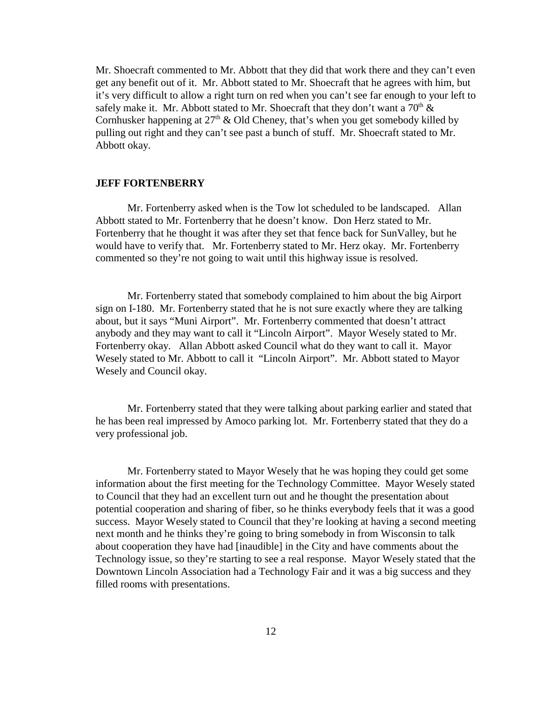Mr. Shoecraft commented to Mr. Abbott that they did that work there and they can't even get any benefit out of it. Mr. Abbott stated to Mr. Shoecraft that he agrees with him, but it's very difficult to allow a right turn on red when you can't see far enough to your left to safely make it. Mr. Abbott stated to Mr. Shoecraft that they don't want a  $70<sup>th</sup>$  & Cornhusker happening at  $27<sup>th</sup>$  & Old Cheney, that's when you get somebody killed by pulling out right and they can't see past a bunch of stuff. Mr. Shoecraft stated to Mr. Abbott okay.

#### **JEFF FORTENBERRY**

Mr. Fortenberry asked when is the Tow lot scheduled to be landscaped. Allan Abbott stated to Mr. Fortenberry that he doesn't know. Don Herz stated to Mr. Fortenberry that he thought it was after they set that fence back for SunValley, but he would have to verify that. Mr. Fortenberry stated to Mr. Herz okay. Mr. Fortenberry commented so they're not going to wait until this highway issue is resolved.

Mr. Fortenberry stated that somebody complained to him about the big Airport sign on I-180. Mr. Fortenberry stated that he is not sure exactly where they are talking about, but it says "Muni Airport". Mr. Fortenberry commented that doesn't attract anybody and they may want to call it "Lincoln Airport". Mayor Wesely stated to Mr. Fortenberry okay. Allan Abbott asked Council what do they want to call it. Mayor Wesely stated to Mr. Abbott to call it "Lincoln Airport". Mr. Abbott stated to Mayor Wesely and Council okay.

Mr. Fortenberry stated that they were talking about parking earlier and stated that he has been real impressed by Amoco parking lot. Mr. Fortenberry stated that they do a very professional job.

Mr. Fortenberry stated to Mayor Wesely that he was hoping they could get some information about the first meeting for the Technology Committee. Mayor Wesely stated to Council that they had an excellent turn out and he thought the presentation about potential cooperation and sharing of fiber, so he thinks everybody feels that it was a good success. Mayor Wesely stated to Council that they're looking at having a second meeting next month and he thinks they're going to bring somebody in from Wisconsin to talk about cooperation they have had [inaudible] in the City and have comments about the Technology issue, so they're starting to see a real response. Mayor Wesely stated that the Downtown Lincoln Association had a Technology Fair and it was a big success and they filled rooms with presentations.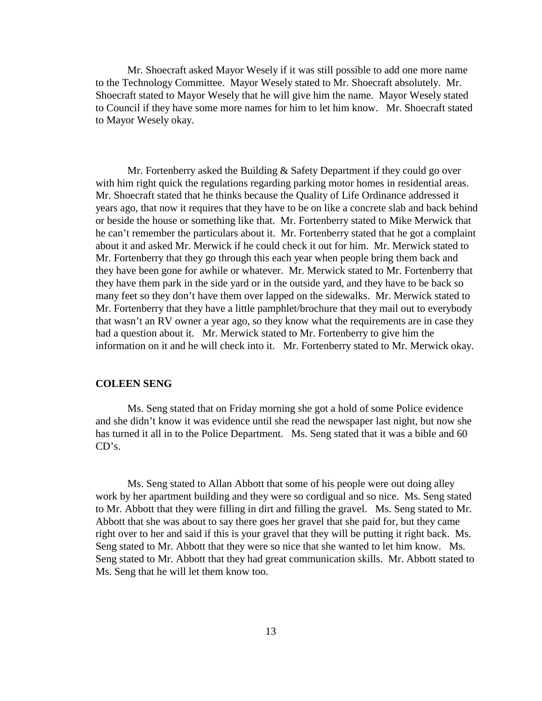Mr. Shoecraft asked Mayor Wesely if it was still possible to add one more name to the Technology Committee. Mayor Wesely stated to Mr. Shoecraft absolutely. Mr. Shoecraft stated to Mayor Wesely that he will give him the name. Mayor Wesely stated to Council if they have some more names for him to let him know. Mr. Shoecraft stated to Mayor Wesely okay.

Mr. Fortenberry asked the Building & Safety Department if they could go over with him right quick the regulations regarding parking motor homes in residential areas. Mr. Shoecraft stated that he thinks because the Quality of Life Ordinance addressed it years ago, that now it requires that they have to be on like a concrete slab and back behind or beside the house or something like that. Mr. Fortenberry stated to Mike Merwick that he can't remember the particulars about it. Mr. Fortenberry stated that he got a complaint about it and asked Mr. Merwick if he could check it out for him. Mr. Merwick stated to Mr. Fortenberry that they go through this each year when people bring them back and they have been gone for awhile or whatever. Mr. Merwick stated to Mr. Fortenberry that they have them park in the side yard or in the outside yard, and they have to be back so many feet so they don't have them over lapped on the sidewalks. Mr. Merwick stated to Mr. Fortenberry that they have a little pamphlet/brochure that they mail out to everybody that wasn't an RV owner a year ago, so they know what the requirements are in case they had a question about it. Mr. Merwick stated to Mr. Fortenberry to give him the information on it and he will check into it. Mr. Fortenberry stated to Mr. Merwick okay.

#### **COLEEN SENG**

Ms. Seng stated that on Friday morning she got a hold of some Police evidence and she didn't know it was evidence until she read the newspaper last night, but now she has turned it all in to the Police Department. Ms. Seng stated that it was a bible and 60 CD's.

Ms. Seng stated to Allan Abbott that some of his people were out doing alley work by her apartment building and they were so cordigual and so nice. Ms. Seng stated to Mr. Abbott that they were filling in dirt and filling the gravel. Ms. Seng stated to Mr. Abbott that she was about to say there goes her gravel that she paid for, but they came right over to her and said if this is your gravel that they will be putting it right back. Ms. Seng stated to Mr. Abbott that they were so nice that she wanted to let him know. Ms. Seng stated to Mr. Abbott that they had great communication skills. Mr. Abbott stated to Ms. Seng that he will let them know too.